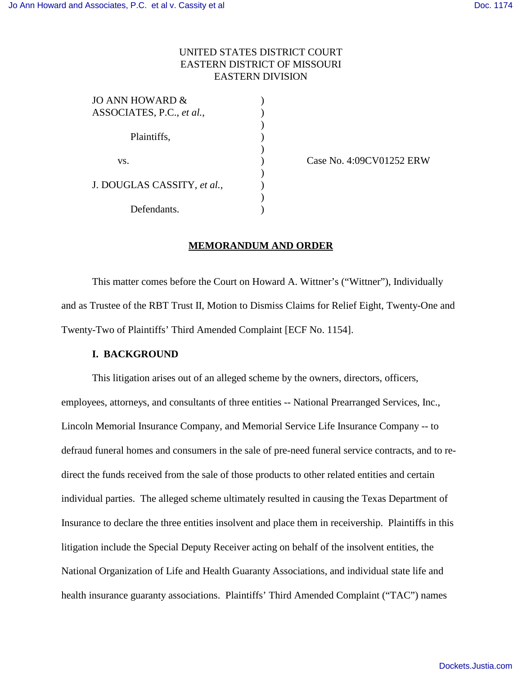# UNITED STATES DISTRICT COURT EASTERN DISTRICT OF MISSOURI EASTERN DIVISION

| JO ANN HOWARD &             |  |
|-----------------------------|--|
| ASSOCIATES, P.C., et al.,   |  |
|                             |  |
| Plaintiffs,                 |  |
|                             |  |
| VS.                         |  |
|                             |  |
| J. DOUGLAS CASSITY, et al., |  |
|                             |  |
| Defendants.                 |  |
|                             |  |

(ase No. 4:09CV01252 ERW)

### **MEMORANDUM AND ORDER**

This matter comes before the Court on Howard A. Wittner's ("Wittner"), Individually and as Trustee of the RBT Trust II, Motion to Dismiss Claims for Relief Eight, Twenty-One and Twenty-Two of Plaintiffs' Third Amended Complaint [ECF No. 1154].

### **I. BACKGROUND**

This litigation arises out of an alleged scheme by the owners, directors, officers, employees, attorneys, and consultants of three entities -- National Prearranged Services, Inc., Lincoln Memorial Insurance Company, and Memorial Service Life Insurance Company -- to defraud funeral homes and consumers in the sale of pre-need funeral service contracts, and to redirect the funds received from the sale of those products to other related entities and certain individual parties. The alleged scheme ultimately resulted in causing the Texas Department of Insurance to declare the three entities insolvent and place them in receivership. Plaintiffs in this litigation include the Special Deputy Receiver acting on behalf of the insolvent entities, the National Organization of Life and Health Guaranty Associations, and individual state life and health insurance guaranty associations. Plaintiffs' Third Amended Complaint ("TAC") names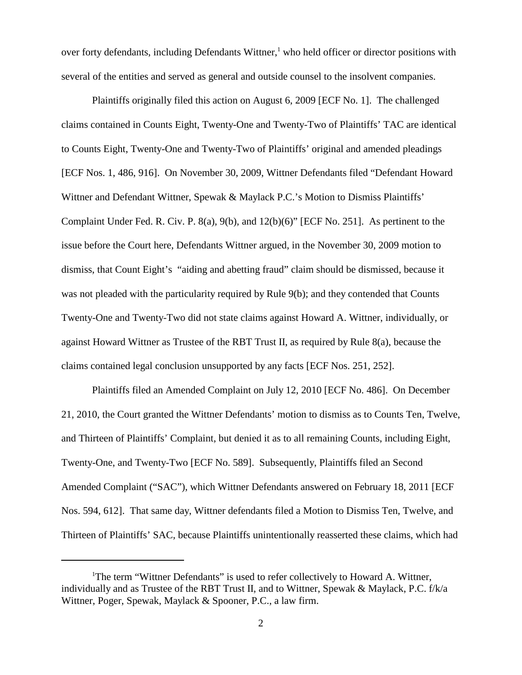over forty defendants, including Defendants Wittner,<sup>1</sup> who held officer or director positions with several of the entities and served as general and outside counsel to the insolvent companies.

Plaintiffs originally filed this action on August 6, 2009 [ECF No. 1]. The challenged claims contained in Counts Eight, Twenty-One and Twenty-Two of Plaintiffs' TAC are identical to Counts Eight, Twenty-One and Twenty-Two of Plaintiffs' original and amended pleadings [ECF Nos. 1, 486, 916]. On November 30, 2009, Wittner Defendants filed "Defendant Howard Wittner and Defendant Wittner, Spewak & Maylack P.C.'s Motion to Dismiss Plaintiffs' Complaint Under Fed. R. Civ. P. 8(a), 9(b), and 12(b)(6)" [ECF No. 251]. As pertinent to the issue before the Court here, Defendants Wittner argued, in the November 30, 2009 motion to dismiss, that Count Eight's "aiding and abetting fraud" claim should be dismissed, because it was not pleaded with the particularity required by Rule 9(b); and they contended that Counts Twenty-One and Twenty-Two did not state claims against Howard A. Wittner, individually, or against Howard Wittner as Trustee of the RBT Trust II, as required by Rule 8(a), because the claims contained legal conclusion unsupported by any facts [ECF Nos. 251, 252].

Plaintiffs filed an Amended Complaint on July 12, 2010 [ECF No. 486]. On December 21, 2010, the Court granted the Wittner Defendants' motion to dismiss as to Counts Ten, Twelve, and Thirteen of Plaintiffs' Complaint, but denied it as to all remaining Counts, including Eight, Twenty-One, and Twenty-Two [ECF No. 589]. Subsequently, Plaintiffs filed an Second Amended Complaint ("SAC"), which Wittner Defendants answered on February 18, 2011 [ECF Nos. 594, 612]. That same day, Wittner defendants filed a Motion to Dismiss Ten, Twelve, and Thirteen of Plaintiffs' SAC, because Plaintiffs unintentionally reasserted these claims, which had

<sup>&</sup>lt;sup>1</sup>The term "Wittner Defendants" is used to refer collectively to Howard A. Wittner, individually and as Trustee of the RBT Trust II, and to Wittner, Spewak & Maylack, P.C. f/k/a Wittner, Poger, Spewak, Maylack & Spooner, P.C., a law firm.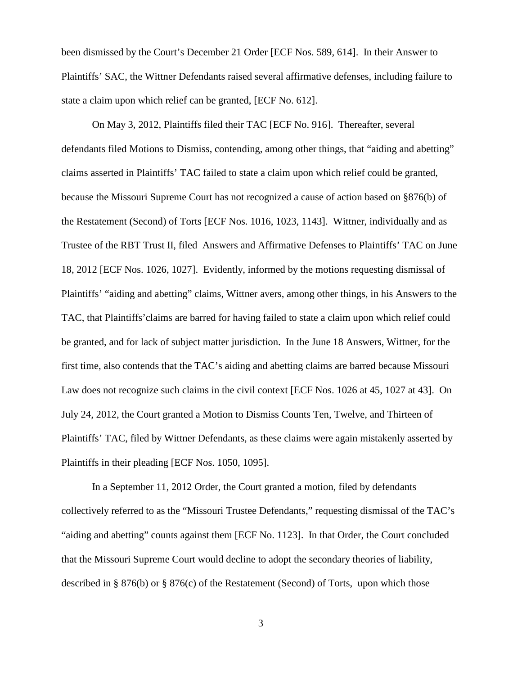been dismissed by the Court's December 21 Order [ECF Nos. 589, 614]. In their Answer to Plaintiffs' SAC, the Wittner Defendants raised several affirmative defenses, including failure to state a claim upon which relief can be granted, [ECF No. 612].

On May 3, 2012, Plaintiffs filed their TAC [ECF No. 916]. Thereafter, several defendants filed Motions to Dismiss, contending, among other things, that "aiding and abetting" claims asserted in Plaintiffs' TAC failed to state a claim upon which relief could be granted, because the Missouri Supreme Court has not recognized a cause of action based on §876(b) of the Restatement (Second) of Torts [ECF Nos. 1016, 1023, 1143]. Wittner, individually and as Trustee of the RBT Trust II, filed Answers and Affirmative Defenses to Plaintiffs' TAC on June 18, 2012 [ECF Nos. 1026, 1027]. Evidently, informed by the motions requesting dismissal of Plaintiffs' "aiding and abetting" claims, Wittner avers, among other things, in his Answers to the TAC, that Plaintiffs'claims are barred for having failed to state a claim upon which relief could be granted, and for lack of subject matter jurisdiction. In the June 18 Answers, Wittner, for the first time, also contends that the TAC's aiding and abetting claims are barred because Missouri Law does not recognize such claims in the civil context [ECF Nos. 1026 at 45, 1027 at 43]. On July 24, 2012, the Court granted a Motion to Dismiss Counts Ten, Twelve, and Thirteen of Plaintiffs' TAC, filed by Wittner Defendants, as these claims were again mistakenly asserted by Plaintiffs in their pleading [ECF Nos. 1050, 1095].

In a September 11, 2012 Order, the Court granted a motion, filed by defendants collectively referred to as the "Missouri Trustee Defendants," requesting dismissal of the TAC's "aiding and abetting" counts against them [ECF No. 1123]. In that Order, the Court concluded that the Missouri Supreme Court would decline to adopt the secondary theories of liability, described in § 876(b) or § 876(c) of the Restatement (Second) of Torts, upon which those

3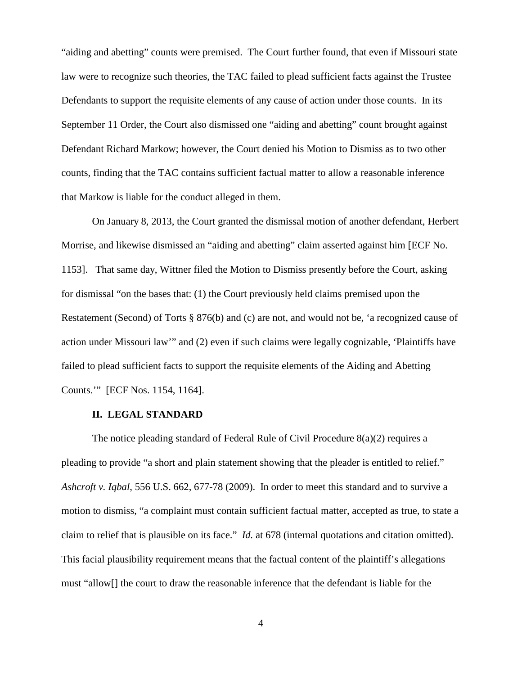"aiding and abetting" counts were premised. The Court further found, that even if Missouri state law were to recognize such theories, the TAC failed to plead sufficient facts against the Trustee Defendants to support the requisite elements of any cause of action under those counts. In its September 11 Order, the Court also dismissed one "aiding and abetting" count brought against Defendant Richard Markow; however, the Court denied his Motion to Dismiss as to two other counts, finding that the TAC contains sufficient factual matter to allow a reasonable inference that Markow is liable for the conduct alleged in them.

On January 8, 2013, the Court granted the dismissal motion of another defendant, Herbert Morrise, and likewise dismissed an "aiding and abetting" claim asserted against him [ECF No. 1153]. That same day, Wittner filed the Motion to Dismiss presently before the Court, asking for dismissal "on the bases that: (1) the Court previously held claims premised upon the Restatement (Second) of Torts § 876(b) and (c) are not, and would not be, 'a recognized cause of action under Missouri law'" and (2) even if such claims were legally cognizable, 'Plaintiffs have failed to plead sufficient facts to support the requisite elements of the Aiding and Abetting Counts.'" [ECF Nos. 1154, 1164].

## **II. LEGAL STANDARD**

The notice pleading standard of Federal Rule of Civil Procedure  $8(a)(2)$  requires a pleading to provide "a short and plain statement showing that the pleader is entitled to relief." *Ashcroft v. Iqbal*, 556 U.S. 662, 677-78 (2009). In order to meet this standard and to survive a motion to dismiss, "a complaint must contain sufficient factual matter, accepted as true, to state a claim to relief that is plausible on its face." *Id.* at 678 (internal quotations and citation omitted). This facial plausibility requirement means that the factual content of the plaintiff's allegations must "allow[] the court to draw the reasonable inference that the defendant is liable for the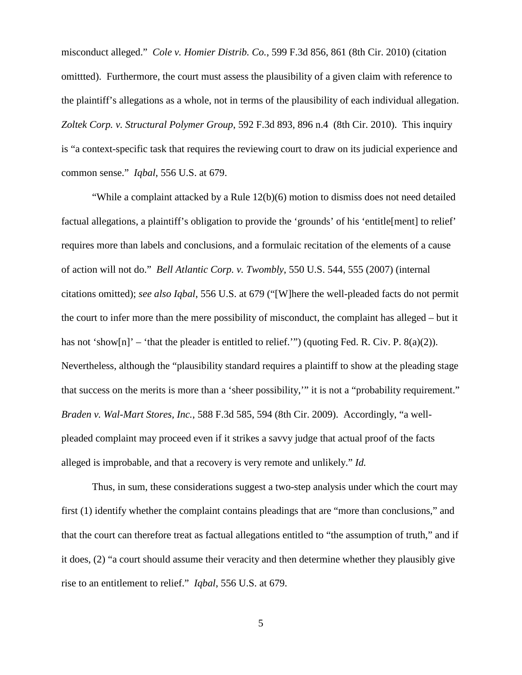misconduct alleged." *Cole v. Homier Distrib. Co.*, 599 F.3d 856, 861 (8th Cir. 2010) (citation omittted). Furthermore, the court must assess the plausibility of a given claim with reference to the plaintiff's allegations as a whole, not in terms of the plausibility of each individual allegation. *Zoltek Corp. v. Structural Polymer Group*, 592 F.3d 893, 896 n.4 (8th Cir. 2010). This inquiry is "a context-specific task that requires the reviewing court to draw on its judicial experience and common sense." *Iqbal*, 556 U.S. at 679.

"While a complaint attacked by a Rule 12(b)(6) motion to dismiss does not need detailed factual allegations, a plaintiff's obligation to provide the 'grounds' of his 'entitle[ment] to relief' requires more than labels and conclusions, and a formulaic recitation of the elements of a cause of action will not do." *Bell Atlantic Corp. v. Twombly*, 550 U.S. 544, 555 (2007) (internal citations omitted); *see also Iqbal*, 556 U.S. at 679 ("[W]here the well-pleaded facts do not permit the court to infer more than the mere possibility of misconduct, the complaint has alleged – but it has not 'show[n]' – 'that the pleader is entitled to relief.'") (quoting Fed. R. Civ. P.  $8(a)(2)$ ). Nevertheless, although the "plausibility standard requires a plaintiff to show at the pleading stage that success on the merits is more than a 'sheer possibility,'" it is not a "probability requirement." *Braden v. Wal-Mart Stores, Inc.*, 588 F.3d 585, 594 (8th Cir. 2009). Accordingly, "a wellpleaded complaint may proceed even if it strikes a savvy judge that actual proof of the facts alleged is improbable, and that a recovery is very remote and unlikely." *Id.* 

Thus, in sum, these considerations suggest a two-step analysis under which the court may first (1) identify whether the complaint contains pleadings that are "more than conclusions," and that the court can therefore treat as factual allegations entitled to "the assumption of truth," and if it does, (2) "a court should assume their veracity and then determine whether they plausibly give rise to an entitlement to relief." *Iqbal*, 556 U.S. at 679.

5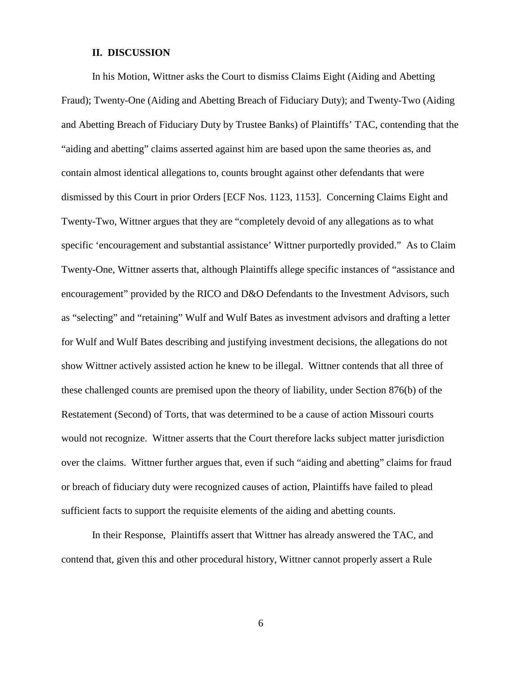#### **II. DISCUSSION**

In his Motion, Wittner asks the Court to dismiss Claims Eight (Aiding and Abetting Fraud); Twenty-One (Aiding and Abetting Breach of Fiduciary Duty); and Twenty-Two (Aiding and Abetting Breach of Fiduciary Duty by Trustee Banks) of Plaintiffs' TAC, contending that the "aiding and abetting" claims asserted against him are based upon the same theories as, and contain almost identical allegations to, counts brought against other defendants that were dismissed by this Court in prior Orders [ECF Nos. 1123, 1153]. Concerning Claims Eight and Twenty-Two, Wittner argues that they are "completely devoid of any allegations as to what specific 'encouragement and substantial assistance' Wittner purportedly provided." As to Claim Twenty-One, Wittner asserts that, although Plaintiffs allege specific instances of "assistance and encouragement" provided by the RICO and D&O Defendants to the Investment Advisors, such as "selecting" and "retaining" Wulf and Wulf Bates as investment advisors and drafting a letter for Wulf and Wulf Bates describing and justifying investment decisions, the allegations do not show Wittner actively assisted action he knew to be illegal. Wittner contends that all three of these challenged counts are premised upon the theory of liability, under Section 876(b) of the Restatement (Second) of Torts, that was determined to be a cause of action Missouri courts would not recognize. Wittner asserts that the Court therefore lacks subject matter jurisdiction over the claims. Wittner further argues that, even if such "aiding and abetting" claims for fraud or breach of fiduciary duty were recognized causes of action, Plaintiffs have failed to plead sufficient facts to support the requisite elements of the aiding and abetting counts.

In their Response, Plaintiffs assert that Wittner has already answered the TAC, and contend that, given this and other procedural history, Wittner cannot properly assert a Rule

6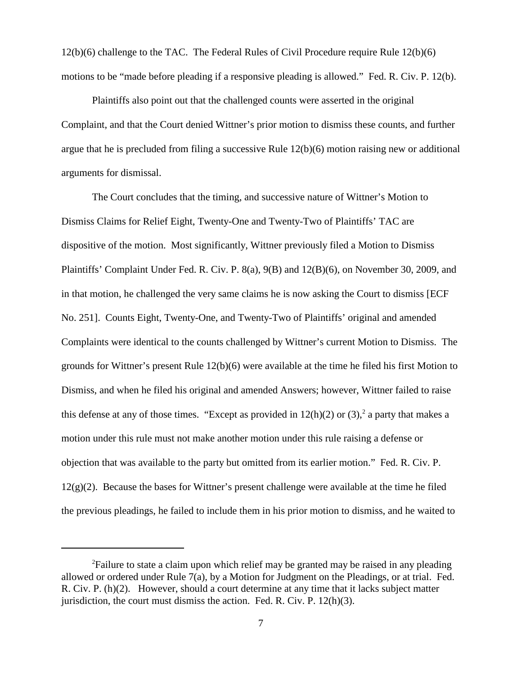12(b)(6) challenge to the TAC. The Federal Rules of Civil Procedure require Rule 12(b)(6) motions to be "made before pleading if a responsive pleading is allowed." Fed. R. Civ. P. 12(b).

Plaintiffs also point out that the challenged counts were asserted in the original Complaint, and that the Court denied Wittner's prior motion to dismiss these counts, and further argue that he is precluded from filing a successive Rule  $12(b)(6)$  motion raising new or additional arguments for dismissal.

The Court concludes that the timing, and successive nature of Wittner's Motion to Dismiss Claims for Relief Eight, Twenty-One and Twenty-Two of Plaintiffs' TAC are dispositive of the motion. Most significantly, Wittner previously filed a Motion to Dismiss Plaintiffs' Complaint Under Fed. R. Civ. P. 8(a), 9(B) and 12(B)(6), on November 30, 2009, and in that motion, he challenged the very same claims he is now asking the Court to dismiss [ECF No. 251]. Counts Eight, Twenty-One, and Twenty-Two of Plaintiffs' original and amended Complaints were identical to the counts challenged by Wittner's current Motion to Dismiss. The grounds for Wittner's present Rule 12(b)(6) were available at the time he filed his first Motion to Dismiss, and when he filed his original and amended Answers; however, Wittner failed to raise this defense at any of those times. "Except as provided in  $12(h)(2)$  or  $(3)$ , a party that makes a motion under this rule must not make another motion under this rule raising a defense or objection that was available to the party but omitted from its earlier motion." Fed. R. Civ. P. 12(g)(2). Because the bases for Wittner's present challenge were available at the time he filed the previous pleadings, he failed to include them in his prior motion to dismiss, and he waited to

<sup>&</sup>lt;sup>2</sup>Failure to state a claim upon which relief may be granted may be raised in any pleading allowed or ordered under Rule 7(a), by a Motion for Judgment on the Pleadings, or at trial. Fed. R. Civ. P. (h)(2). However, should a court determine at any time that it lacks subject matter jurisdiction, the court must dismiss the action. Fed. R. Civ. P.  $12(h)(3)$ .